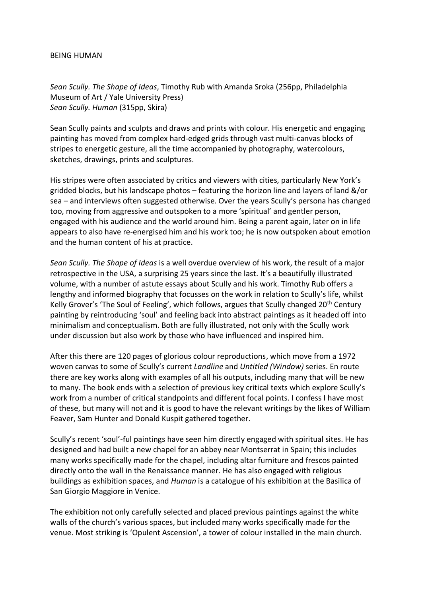## BEING HUMAN

*Sean Scully. The Shape of Ideas*, Timothy Rub with Amanda Sroka (256pp, Philadelphia Museum of Art / Yale University Press) *Sean Scully. Human* (315pp, Skira)

Sean Scully paints and sculpts and draws and prints with colour. His energetic and engaging painting has moved from complex hard-edged grids through vast multi-canvas blocks of stripes to energetic gesture, all the time accompanied by photography, watercolours, sketches, drawings, prints and sculptures.

His stripes were often associated by critics and viewers with cities, particularly New York's gridded blocks, but his landscape photos – featuring the horizon line and layers of land &/or sea – and interviews often suggested otherwise. Over the years Scully's persona has changed too, moving from aggressive and outspoken to a more 'spiritual' and gentler person, engaged with his audience and the world around him. Being a parent again, later on in life appears to also have re-energised him and his work too; he is now outspoken about emotion and the human content of his at practice.

*Sean Scully. The Shape of Ideas* is a well overdue overview of his work, the result of a major retrospective in the USA, a surprising 25 years since the last. It's a beautifully illustrated volume, with a number of astute essays about Scully and his work. Timothy Rub offers a lengthy and informed biography that focusses on the work in relation to Scully's life, whilst Kelly Grover's 'The Soul of Feeling', which follows, argues that Scully changed  $20<sup>th</sup>$  Century painting by reintroducing 'soul' and feeling back into abstract paintings as it headed off into minimalism and conceptualism. Both are fully illustrated, not only with the Scully work under discussion but also work by those who have influenced and inspired him.

After this there are 120 pages of glorious colour reproductions, which move from a 1972 woven canvas to some of Scully's current *Landline* and *Untitled (Window)* series. En route there are key works along with examples of all his outputs, including many that will be new to many. The book ends with a selection of previous key critical texts which explore Scully's work from a number of critical standpoints and different focal points. I confess I have most of these, but many will not and it is good to have the relevant writings by the likes of William Feaver, Sam Hunter and Donald Kuspit gathered together.

Scully's recent 'soul'-ful paintings have seen him directly engaged with spiritual sites. He has designed and had built a new chapel for an abbey near Montserrat in Spain; this includes many works specifically made for the chapel, including altar furniture and frescos painted directly onto the wall in the Renaissance manner. He has also engaged with religious buildings as exhibition spaces, and *Human* is a catalogue of his exhibition at the Basilica of San Giorgio Maggiore in Venice.

The exhibition not only carefully selected and placed previous paintings against the white walls of the church's various spaces, but included many works specifically made for the venue. Most striking is 'Opulent Ascension', a tower of colour installed in the main church.